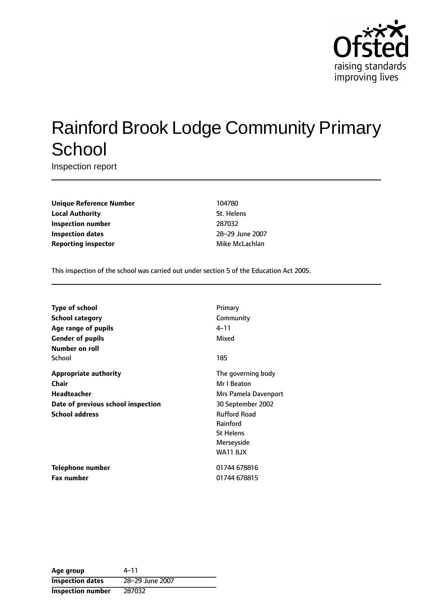

# Rainford Brook Lodge Community Primary **School**

Inspection report

**Unique Reference Number** 104780 **Local Authority** St. Helens **Inspection number** 287032 **Inspection dates** 28-29 June 2007 **Reporting inspector** Mike McLachlan

This inspection of the school was carried out under section 5 of the Education Act 2005.

| <b>Type of school</b>              | Primary              |
|------------------------------------|----------------------|
| <b>School category</b>             | Community            |
| Age range of pupils                | 4–11                 |
| <b>Gender of pupils</b>            | Mixed                |
| <b>Number on roll</b>              |                      |
| School                             | 185                  |
| <b>Appropriate authority</b>       | The governing body   |
| Chair                              | Mr I Beaton          |
| <b>Headteacher</b>                 | Mrs Pamela Davenport |
| Date of previous school inspection | 30 September 2002    |
| <b>School address</b>              | <b>Rufford Road</b>  |
|                                    | Rainford             |
|                                    | <b>St Helens</b>     |
|                                    | Merseyside           |
|                                    | <b>WA11 8JX</b>      |
| Telephone number                   | 01744 678816         |
| <b>Fax number</b>                  | 01744 678815         |
|                                    |                      |

Age group  $4-11$ **Inspection dates** 28-29 June 2007 **Inspection number** 287032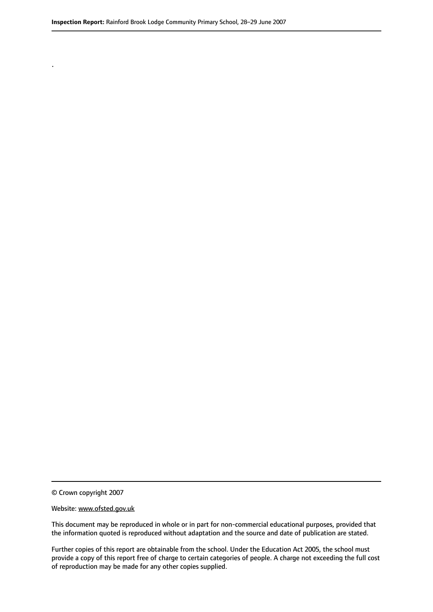© Crown copyright 2007

.

#### Website: www.ofsted.gov.uk

This document may be reproduced in whole or in part for non-commercial educational purposes, provided that the information quoted is reproduced without adaptation and the source and date of publication are stated.

Further copies of this report are obtainable from the school. Under the Education Act 2005, the school must provide a copy of this report free of charge to certain categories of people. A charge not exceeding the full cost of reproduction may be made for any other copies supplied.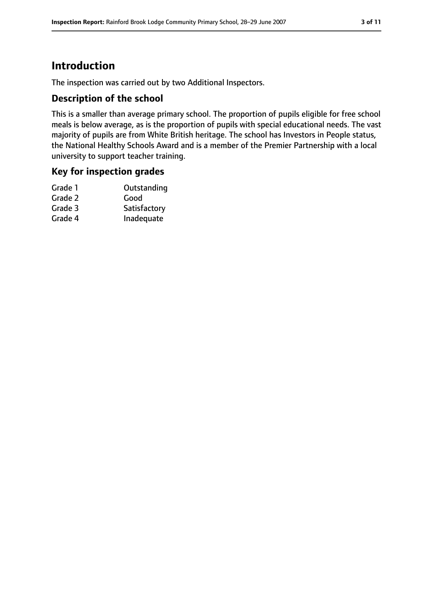# **Introduction**

The inspection was carried out by two Additional Inspectors.

#### **Description of the school**

This is a smaller than average primary school. The proportion of pupils eligible for free school meals is below average, as is the proportion of pupils with special educational needs. The vast majority of pupils are from White British heritage. The school has Investors in People status, the National Healthy Schools Award and is a member of the Premier Partnership with a local university to support teacher training.

#### **Key for inspection grades**

| Grade 1 | Outstanding  |
|---------|--------------|
| Grade 2 | Good         |
| Grade 3 | Satisfactory |
| Grade 4 | Inadequate   |
|         |              |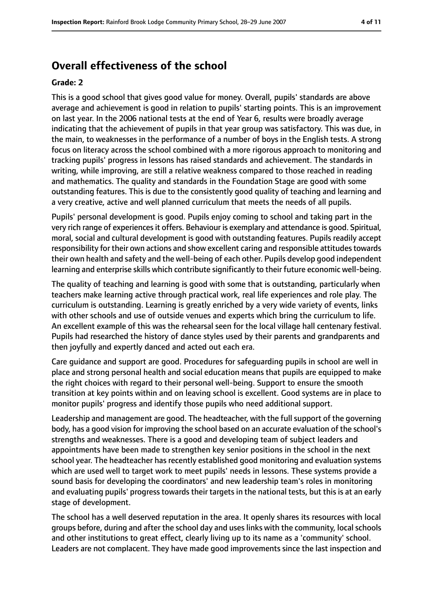## **Overall effectiveness of the school**

#### **Grade: 2**

This is a good school that gives good value for money. Overall, pupils' standards are above average and achievement is good in relation to pupils' starting points. This is an improvement on last year. In the 2006 national tests at the end of Year 6, results were broadly average indicating that the achievement of pupils in that year group was satisfactory. This was due, in the main, to weaknesses in the performance of a number of boys in the English tests. A strong focus on literacy across the school combined with a more rigorous approach to monitoring and tracking pupils' progress in lessons has raised standards and achievement. The standards in writing, while improving, are still a relative weakness compared to those reached in reading and mathematics. The quality and standards in the Foundation Stage are good with some outstanding features. This is due to the consistently good quality of teaching and learning and a very creative, active and well planned curriculum that meets the needs of all pupils.

Pupils' personal development is good. Pupils enjoy coming to school and taking part in the very rich range of experiencesit offers. Behaviour is exemplary and attendance is good. Spiritual, moral, social and cultural development is good with outstanding features. Pupils readily accept responsibility for their own actions and show excellent caring and responsible attitudes towards their own health and safety and the well-being of each other. Pupils develop good independent learning and enterprise skills which contribute significantly to their future economic well-being.

The quality of teaching and learning is good with some that is outstanding, particularly when teachers make learning active through practical work, real life experiences and role play. The curriculum is outstanding. Learning is greatly enriched by a very wide variety of events, links with other schools and use of outside venues and experts which bring the curriculum to life. An excellent example of this was the rehearsal seen for the local village hall centenary festival. Pupils had researched the history of dance styles used by their parents and grandparents and then joyfully and expertly danced and acted out each era.

Care guidance and support are good. Procedures for safeguarding pupils in school are well in place and strong personal health and social education means that pupils are equipped to make the right choices with regard to their personal well-being. Support to ensure the smooth transition at key points within and on leaving school is excellent. Good systems are in place to monitor pupils' progress and identify those pupils who need additional support.

Leadership and management are good. The headteacher, with the full support of the governing body, has a good vision for improving the school based on an accurate evaluation of the school's strengths and weaknesses. There is a good and developing team of subject leaders and appointments have been made to strengthen key senior positions in the school in the next school year. The headteacher has recently established good monitoring and evaluation systems which are used well to target work to meet pupils' needs in lessons. These systems provide a sound basis for developing the coordinators' and new leadership team's roles in monitoring and evaluating pupils' progress towards their targets in the national tests, but this is at an early stage of development.

The school has a well deserved reputation in the area. It openly shares its resources with local groups before, during and after the school day and uses links with the community, local schools and other institutions to great effect, clearly living up to its name as a 'community' school. Leaders are not complacent. They have made good improvements since the last inspection and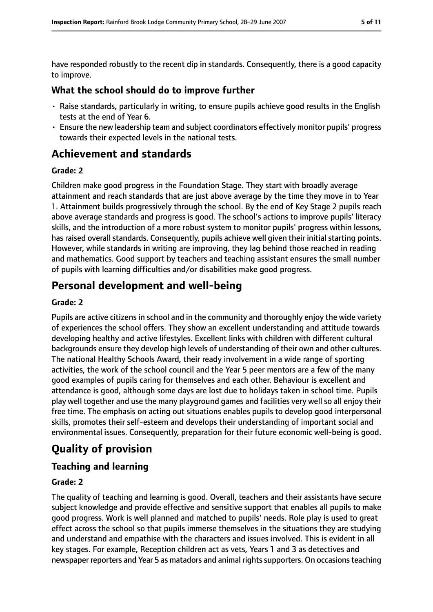have responded robustly to the recent dip in standards. Consequently, there is a good capacity to improve.

#### **What the school should do to improve further**

- Raise standards, particularly in writing, to ensure pupils achieve good results in the English tests at the end of Year 6.
- Ensure the new leadership team and subject coordinators effectively monitor pupils' progress towards their expected levels in the national tests.

## **Achievement and standards**

#### **Grade: 2**

Children make good progress in the Foundation Stage. They start with broadly average attainment and reach standards that are just above average by the time they move in to Year 1. Attainment builds progressively through the school. By the end of Key Stage 2 pupils reach above average standards and progress is good. The school's actions to improve pupils' literacy skills, and the introduction of a more robust system to monitor pupils' progress within lessons, has raised overall standards. Consequently, pupils achieve well given their initial starting points. However, while standards in writing are improving, they lag behind those reached in reading and mathematics. Good support by teachers and teaching assistant ensures the small number of pupils with learning difficulties and/or disabilities make good progress.

## **Personal development and well-being**

#### **Grade: 2**

Pupils are active citizens in school and in the community and thoroughly enjoy the wide variety of experiences the school offers. They show an excellent understanding and attitude towards developing healthy and active lifestyles. Excellent links with children with different cultural backgrounds ensure they develop high levels of understanding of their own and other cultures. The national Healthy Schools Award, their ready involvement in a wide range of sporting activities, the work of the school council and the Year 5 peer mentors are a few of the many good examples of pupils caring for themselves and each other. Behaviour is excellent and attendance is good, although some days are lost due to holidays taken in school time. Pupils play well together and use the many playground games and facilities very well so all enjoy their free time. The emphasis on acting out situations enables pupils to develop good interpersonal skills, promotes their self-esteem and develops their understanding of important social and environmental issues. Consequently, preparation for their future economic well-being is good.

# **Quality of provision**

#### **Teaching and learning**

#### **Grade: 2**

The quality of teaching and learning is good. Overall, teachers and their assistants have secure subject knowledge and provide effective and sensitive support that enables all pupils to make good progress. Work is well planned and matched to pupils' needs. Role play is used to great effect across the school so that pupils immerse themselves in the situations they are studying and understand and empathise with the characters and issues involved. This is evident in all key stages. For example, Reception children act as vets, Years 1 and 3 as detectives and newspaper reporters and Year 5 as matadors and animal rights supporters. On occasions teaching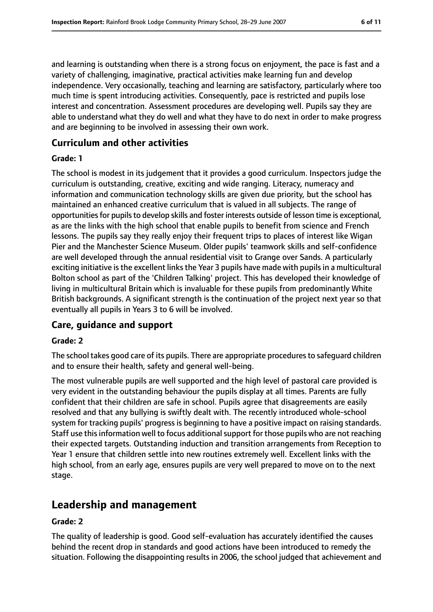and learning is outstanding when there is a strong focus on enjoyment, the pace is fast and a variety of challenging, imaginative, practical activities make learning fun and develop independence. Very occasionally, teaching and learning are satisfactory, particularly where too much time is spent introducing activities. Consequently, pace is restricted and pupils lose interest and concentration. Assessment procedures are developing well. Pupils say they are able to understand what they do well and what they have to do next in order to make progress and are beginning to be involved in assessing their own work.

#### **Curriculum and other activities**

#### **Grade: 1**

The school is modest in its judgement that it provides a good curriculum. Inspectors judge the curriculum is outstanding, creative, exciting and wide ranging. Literacy, numeracy and information and communication technology skills are given due priority, but the school has maintained an enhanced creative curriculum that is valued in all subjects. The range of opportunities for pupils to develop skills and foster interests outside of lesson time is exceptional, as are the links with the high school that enable pupils to benefit from science and French lessons. The pupils say they really enjoy their frequent trips to places of interest like Wigan Pier and the Manchester Science Museum. Older pupils' teamwork skills and self-confidence are well developed through the annual residential visit to Grange over Sands. A particularly exciting initiative is the excellent links the Year 3 pupils have made with pupils in a multicultural Bolton school as part of the 'Children Talking' project. This has developed their knowledge of living in multicultural Britain which is invaluable for these pupils from predominantly White British backgrounds. A significant strength is the continuation of the project next year so that eventually all pupils in Years 3 to 6 will be involved.

#### **Care, guidance and support**

#### **Grade: 2**

The school takes good care of its pupils. There are appropriate procedures to safeguard children and to ensure their health, safety and general well-being.

The most vulnerable pupils are well supported and the high level of pastoral care provided is very evident in the outstanding behaviour the pupils display at all times. Parents are fully confident that their children are safe in school. Pupils agree that disagreements are easily resolved and that any bullying is swiftly dealt with. The recently introduced whole-school system for tracking pupils' progress is beginning to have a positive impact on raising standards. Staff use this information well to focus additional support for those pupils who are not reaching their expected targets. Outstanding induction and transition arrangements from Reception to Year 1 ensure that children settle into new routines extremely well. Excellent links with the high school, from an early age, ensures pupils are very well prepared to move on to the next stage.

## **Leadership and management**

#### **Grade: 2**

The quality of leadership is good. Good self-evaluation has accurately identified the causes behind the recent drop in standards and good actions have been introduced to remedy the situation. Following the disappointing results in 2006, the school judged that achievement and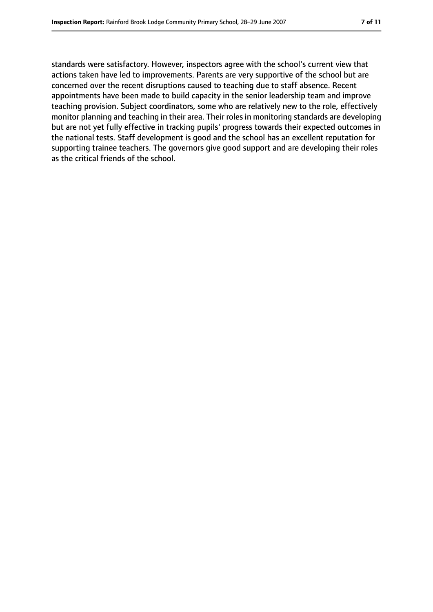standards were satisfactory. However, inspectors agree with the school's current view that actions taken have led to improvements. Parents are very supportive of the school but are concerned over the recent disruptions caused to teaching due to staff absence. Recent appointments have been made to build capacity in the senior leadership team and improve teaching provision. Subject coordinators, some who are relatively new to the role, effectively monitor planning and teaching in their area. Their roles in monitoring standards are developing but are not yet fully effective in tracking pupils' progress towards their expected outcomes in the national tests. Staff development is good and the school has an excellent reputation for supporting trainee teachers. The governors give good support and are developing their roles as the critical friends of the school.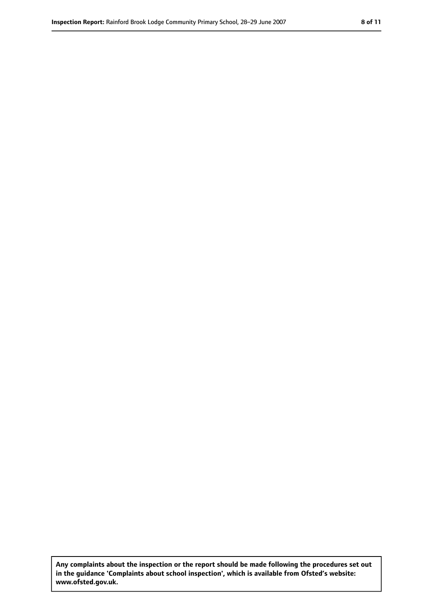**Any complaints about the inspection or the report should be made following the procedures set out in the guidance 'Complaints about school inspection', which is available from Ofsted's website: www.ofsted.gov.uk.**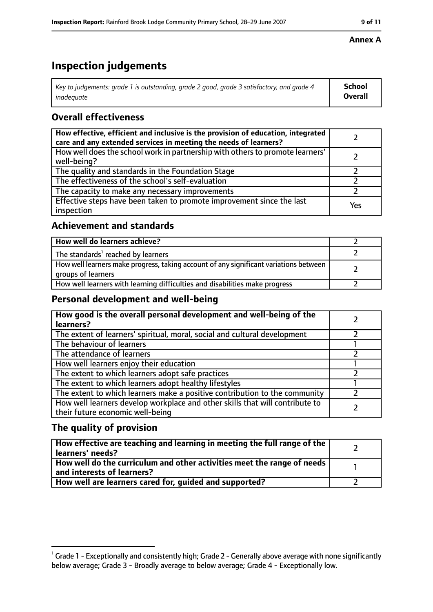# **Inspection judgements**

| Key to judgements: grade 1 is outstanding, grade 2 good, grade 3 satisfactory, and grade 4 | <b>School</b>  |
|--------------------------------------------------------------------------------------------|----------------|
| inadeauate                                                                                 | <b>Overall</b> |

## **Overall effectiveness**

| How effective, efficient and inclusive is the provision of education, integrated<br>care and any extended services in meeting the needs of learners? |     |
|------------------------------------------------------------------------------------------------------------------------------------------------------|-----|
| How well does the school work in partnership with others to promote learners'<br>well-being?                                                         |     |
| The quality and standards in the Foundation Stage                                                                                                    |     |
| The effectiveness of the school's self-evaluation                                                                                                    |     |
| The capacity to make any necessary improvements                                                                                                      |     |
| Effective steps have been taken to promote improvement since the last<br>inspection                                                                  | Yes |

### **Achievement and standards**

| How well do learners achieve?                                                                               |  |
|-------------------------------------------------------------------------------------------------------------|--|
| The standards <sup>1</sup> reached by learners                                                              |  |
| How well learners make progress, taking account of any significant variations between<br>groups of learners |  |
| How well learners with learning difficulties and disabilities make progress                                 |  |

#### **Personal development and well-being**

| How good is the overall personal development and well-being of the<br>learners?                                  |  |
|------------------------------------------------------------------------------------------------------------------|--|
| The extent of learners' spiritual, moral, social and cultural development                                        |  |
| The behaviour of learners                                                                                        |  |
| The attendance of learners                                                                                       |  |
| How well learners enjoy their education                                                                          |  |
| The extent to which learners adopt safe practices                                                                |  |
| The extent to which learners adopt healthy lifestyles                                                            |  |
| The extent to which learners make a positive contribution to the community                                       |  |
| How well learners develop workplace and other skills that will contribute to<br>their future economic well-being |  |

#### **The quality of provision**

| How effective are teaching and learning in meeting the full range of the<br>learners' needs?          |  |
|-------------------------------------------------------------------------------------------------------|--|
| How well do the curriculum and other activities meet the range of needs<br>and interests of learners? |  |
| How well are learners cared for, quided and supported?                                                |  |

#### **Annex A**

 $^1$  Grade 1 - Exceptionally and consistently high; Grade 2 - Generally above average with none significantly below average; Grade 3 - Broadly average to below average; Grade 4 - Exceptionally low.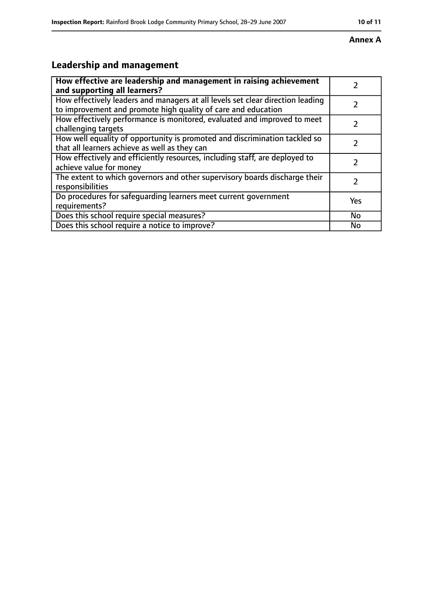#### **Annex A**

# **Leadership and management**

| How effective are leadership and management in raising achievement<br>and supporting all learners?                                              |     |
|-------------------------------------------------------------------------------------------------------------------------------------------------|-----|
| How effectively leaders and managers at all levels set clear direction leading<br>to improvement and promote high quality of care and education |     |
| How effectively performance is monitored, evaluated and improved to meet<br>challenging targets                                                 |     |
| How well equality of opportunity is promoted and discrimination tackled so<br>that all learners achieve as well as they can                     |     |
| How effectively and efficiently resources, including staff, are deployed to<br>achieve value for money                                          | 7   |
| The extent to which governors and other supervisory boards discharge their<br>responsibilities                                                  | 7   |
| Do procedures for safequarding learners meet current government<br>requirements?                                                                | Yes |
| Does this school require special measures?                                                                                                      | No  |
| Does this school require a notice to improve?                                                                                                   | No  |